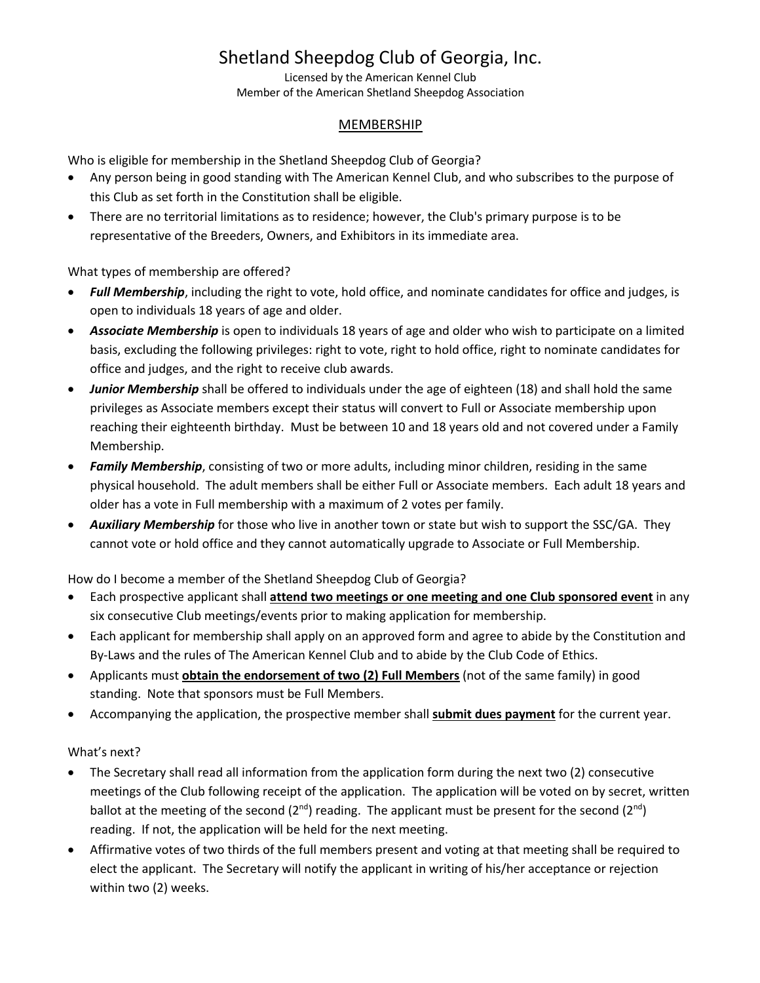# Shetland Sheepdog Club of Georgia, Inc.

Licensed by the American Kennel Club Member of the American Shetland Sheepdog Association

#### MEMBERSHIP

Who is eligible for membership in the Shetland Sheepdog Club of Georgia?

- Any person being in good standing with The American Kennel Club, and who subscribes to the purpose of this Club as set forth in the Constitution shall be eligible.
- There are no territorial limitations as to residence; however, the Club's primary purpose is to be representative of the Breeders, Owners, and Exhibitors in its immediate area.

What types of membership are offered?

- *Full Membership*, including the right to vote, hold office, and nominate candidates for office and judges, is open to individuals 18 years of age and older.
- *Associate Membership* is open to individuals 18 years of age and older who wish to participate on a limited basis, excluding the following privileges: right to vote, right to hold office, right to nominate candidates for office and judges, and the right to receive club awards.
- *Junior Membership* shall be offered to individuals under the age of eighteen (18) and shall hold the same privileges as Associate members except their status will convert to Full or Associate membership upon reaching their eighteenth birthday. Must be between 10 and 18 years old and not covered under a Family Membership.
- *Family Membership*, consisting of two or more adults, including minor children, residing in the same physical household. The adult members shall be either Full or Associate members. Each adult 18 years and older has a vote in Full membership with a maximum of 2 votes per family.
- *Auxiliary Membership* for those who live in another town or state but wish to support the SSC/GA. They cannot vote or hold office and they cannot automatically upgrade to Associate or Full Membership.

How do I become a member of the Shetland Sheepdog Club of Georgia?

- Each prospective applicant shall **attend two meetings or one meeting and one Club sponsored event** in any six consecutive Club meetings/events prior to making application for membership.
- Each applicant for membership shall apply on an approved form and agree to abide by the Constitution and By-Laws and the rules of The American Kennel Club and to abide by the Club Code of Ethics.
- Applicants must **obtain the endorsement of two (2) Full Members** (not of the same family) in good standing. Note that sponsors must be Full Members.
- Accompanying the application, the prospective member shall **submit dues payment** for the current year.

#### What's next?

- The Secretary shall read all information from the application form during the next two (2) consecutive meetings of the Club following receipt of the application. The application will be voted on by secret, written ballot at the meeting of the second (2<sup>nd</sup>) reading. The applicant must be present for the second (2<sup>nd</sup>) reading. If not, the application will be held for the next meeting.
- Affirmative votes of two thirds of the full members present and voting at that meeting shall be required to elect the applicant. The Secretary will notify the applicant in writing of his/her acceptance or rejection within two (2) weeks.